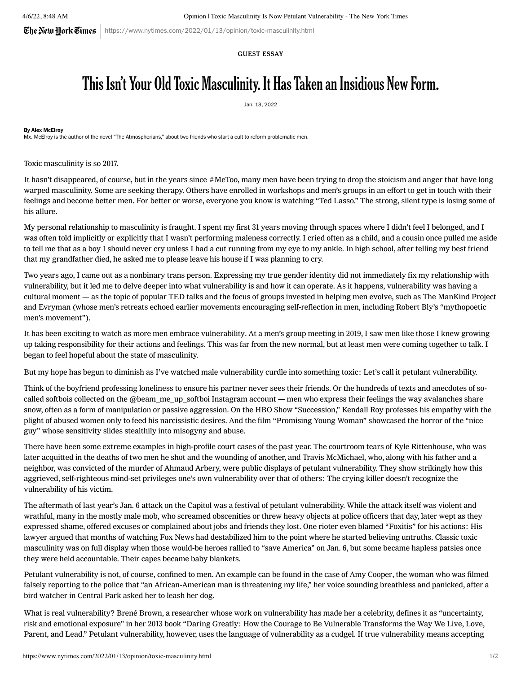$\mathbb{C}$ he Netu Hork $\mathbb{C}$ imes | https://www.nytimes.com/2022/01/13/opinion/toxic-masculinity.html

# GUEST ESSAY

# This Isn't Your Old Toxic Masculinity. It Has Taken an Insidious New Form.

Jan. 13, 2022

### By Alex McElroy

Mx. McElroy is the author of the novel "The Atmospherians," about two friends who start a cult to reform problematic men.

Toxic masculinity is so 2017.

It hasn't disappeared, of course, but in the years since #MeToo, many men have been trying to drop the stoicism and anger that have long warped masculinity. Some are seeking therapy. Others have enrolled in workshops and men's groups in an effort to get in touch with their feelings and become better men. For better or worse, everyone you know is [watching](https://www.gawker.com/culture/ted-lasso-isnt-funny) "Ted Lasso." The strong, silent type is losing some of his allure.

My personal relationship to masculinity is fraught. I spent my first 31 years moving through spaces where I didn't feel I belonged, and I was often told implicitly or explicitly that I wasn't performing maleness correctly. I cried often as a child, and a cousin once pulled me aside to tell me that as a boy I should never cry unless I had a cut running from my eye to my ankle. In high school, after telling my best friend that my grandfather died, he asked me to please leave his house if I was planning to cry.

Two years ago, I came out as a nonbinary trans person. Expressing my true gender identity did not immediately fix my relationship with vulnerability, but it led me to delve deeper into what vulnerability is and how it can operate. As it happens, vulnerability was having a cultural moment — as the topic of [popular](https://www.ted.com/talks/brene_brown_the_power_of_vulnerability?language=en) TED talks and the focus of groups invested in helping men evolve, such as The ManKind Project and Evryman (whose men's retreats echoed earlier movements encouraging [self-reflection](https://www.nytimes.com/2018/12/08/style/men-emotions-mankind-project.html) in men, including Robert Bly's "mythopoetic men's movement").

It has been exciting to watch as more men embrace [vulnerability.](https://www.vice.com/en/article/vbad3y/toxic-masculinity-classes-rethinking-men) At a men's group meeting in 2019, I saw men like those I knew growing up taking responsibility for their actions and feelings. This was far from the new normal, but at least men were coming together to talk. I began to feel hopeful about the state of masculinity.

But my hope has begun to diminish as I've watched male vulnerability curdle into something toxic: Let's call it petulant vulnerability.

Think of the boyfriend professing loneliness to ensure his [partner](https://www.nytimes.com/2022/01/10/style/love-bombing.html) never sees their friends. Or the hundreds of texts and anecdotes of socalled [softbois](https://www.vice.com/en/article/ywagbg/guide-a-z-what-is-softboi-softboy) collected on the [@beam\\_me\\_up\\_softboi](https://www.instagram.com/beam_me_up_softboi/) Instagram account — men who express their feelings the way avalanches share snow, often as a form of manipulation or passive aggression. On the HBO Show ["Succession,"](https://www.salon.com/2021/11/02/succession-kendall-roy-girlboss/) Kendall Roy professes his empathy with the plight of abused women only to feed his narcissistic desires. And the film ["Promising](https://www.gq.com/story/promising-young-woman-emerald-fennell-adam-brody-max-greenfield-christopher-mintz-plasse-interview) Young Woman" showcased the horror of the "nice guy" whose sensitivity slides stealthily into misogyny and abuse.

There have been some extreme examples in high-profile court cases of the past year. The courtroom tears of Kyle [Rittenhouse](https://www.vox.com/2021/11/11/22775093/kyle-rittenhouse-trial-kenosha-testimony-crying), who was later acquitted in the deaths of two men he shot and the wounding of another, and Travis McMichael, who, along with his father and a neighbor, was convicted of the murder of Ahmaud Arbery, were public displays of petulant vulnerability. They show strikingly how this aggrieved, self-righteous mind-set privileges one's own vulnerability over that of others: The crying killer doesn't recognize the vulnerability of his victim.

The aftermath of last year's Jan. 6 attack on the Capitol was a festival of petulant vulnerability. While the attack itself was violent and wrathful, many in the mostly male mob, who screamed obscenities or threw heavy objects at police officers that day, later [wept](https://apnews.com/article/capitol-siege-rioters-prison-95bdc863812cab48be3d98ada67bd582) as they [expressed](https://www.nytimes.com/2022/01/05/podcasts/the-daily/january-6-capitol-riots-anniversary.html?showTranscript=1) shame, offered excuses or complained about jobs and friends they lost. One rioter even blamed ["Foxitis"](https://www.washingtonpost.com/nation/2021/05/07/fox-news-anthony-antonio-capitol-riot/) for his actions: His lawyer argued that months of watching Fox News had destabilized him to the point where he started believing untruths. Classic toxic masculinity was on full display when those would-be heroes rallied to "save [America"](https://www.nytimes.com/2021/01/09/us/capitol-rioters.html) on Jan. 6, but some became hapless patsies once they were held accountable. Their capes became baby blankets.

Petulant vulnerability is not, of course, confined to men. An example can be found in the case of Amy [Cooper](https://www.nytimes.com/2021/02/16/nyregion/amy-cooper-charges-dismissed.html), the woman who was filmed falsely reporting to the police that "an African-American man is threatening my life," her voice sounding breathless and panicked, after a bird watcher in Central Park asked her to leash her dog.

What is real vulnerability? Brené Brown, a researcher whose work on vulnerability has made her a celebrity, defines it as "uncertainty, risk and emotional exposure" in her 2013 book "Daring Greatly: How the Courage to Be Vulnerable Transforms the Way We Live, Love, Parent, and Lead." Petulant vulnerability, however, uses the language of vulnerability as a cudgel. If true vulnerability means accepting